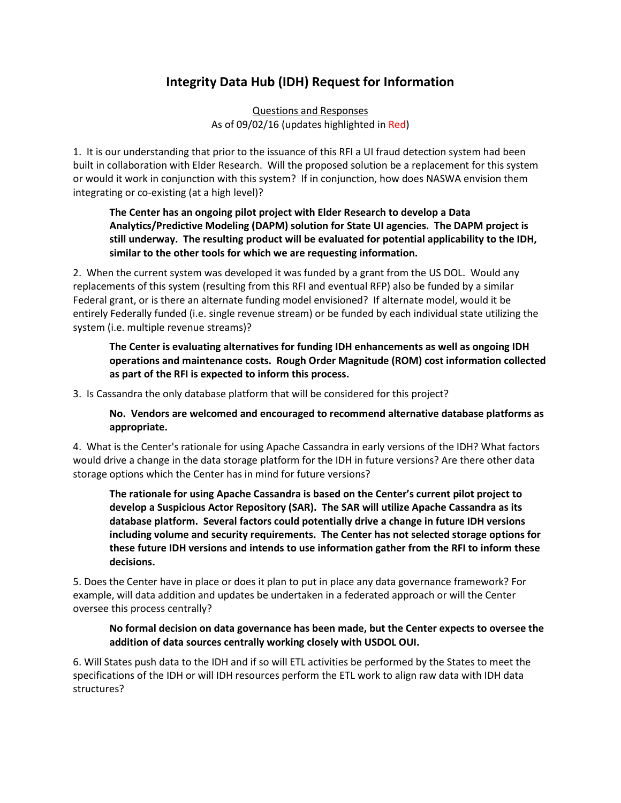# **Integrity Data Hub (IDH) Request for Information**

Questions and Responses As of 09/02/16 (updates highlighted in Red)

1. It is our understanding that prior to the issuance of this RFI a UI fraud detection system had been built in collaboration with Elder Research. Will the proposed solution be a replacement for this system or would it work in conjunction with this system? If in conjunction, how does NASWA envision them integrating or co-existing (at a high level)?

## **The Center has an ongoing pilot project with Elder Research to develop a Data Analytics/Predictive Modeling (DAPM) solution for State UI agencies. The DAPM project is still underway. The resulting product will be evaluated for potential applicability to the IDH, similar to the other tools for which we are requesting information.**

2. When the current system was developed it was funded by a grant from the US DOL. Would any replacements of this system (resulting from this RFI and eventual RFP) also be funded by a similar Federal grant, or is there an alternate funding model envisioned? If alternate model, would it be entirely Federally funded (i.e. single revenue stream) or be funded by each individual state utilizing the system (i.e. multiple revenue streams)?

**The Center is evaluating alternatives for funding IDH enhancements as well as ongoing IDH operations and maintenance costs. Rough Order Magnitude (ROM) cost information collected as part of the RFI is expected to inform this process.**

3. Is Cassandra the only database platform that will be considered for this project?

**No. Vendors are welcomed and encouraged to recommend alternative database platforms as appropriate.**

4. What is the Center's rationale for using Apache Cassandra in early versions of the IDH? What factors would drive a change in the data storage platform for the IDH in future versions? Are there other data storage options which the Center has in mind for future versions?

**The rationale for using Apache Cassandra is based on the Center's current pilot project to develop a Suspicious Actor Repository (SAR). The SAR will utilize Apache Cassandra as its database platform. Several factors could potentially drive a change in future IDH versions including volume and security requirements. The Center has not selected storage options for these future IDH versions and intends to use information gather from the RFI to inform these decisions.** 

5. Does the Center have in place or does it plan to put in place any data governance framework? For example, will data addition and updates be undertaken in a federated approach or will the Center oversee this process centrally?

## **No formal decision on data governance has been made, but the Center expects to oversee the addition of data sources centrally working closely with USDOL OUI.**

6. Will States push data to the IDH and if so will ETL activities be performed by the States to meet the specifications of the IDH or will IDH resources perform the ETL work to align raw data with IDH data structures?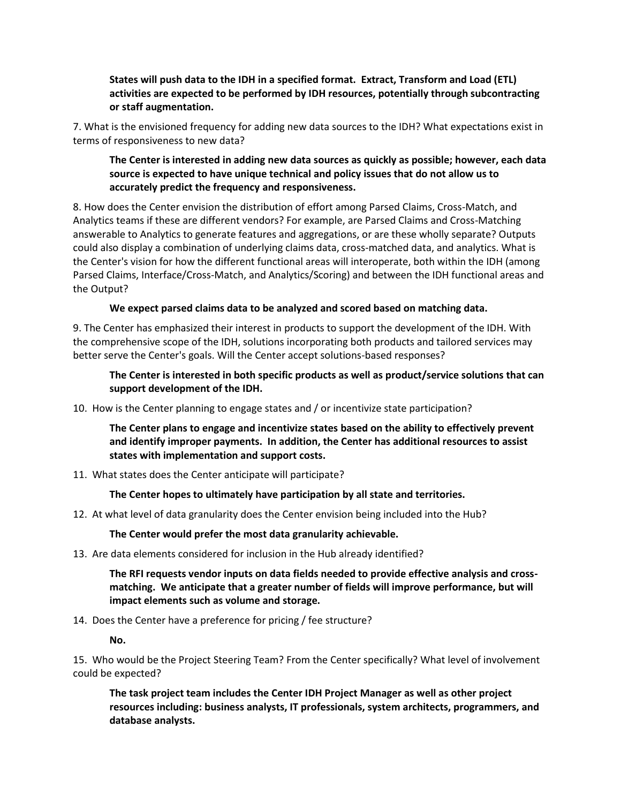**States will push data to the IDH in a specified format. Extract, Transform and Load (ETL) activities are expected to be performed by IDH resources, potentially through subcontracting or staff augmentation.**

7. What is the envisioned frequency for adding new data sources to the IDH? What expectations exist in terms of responsiveness to new data?

**The Center is interested in adding new data sources as quickly as possible; however, each data source is expected to have unique technical and policy issues that do not allow us to accurately predict the frequency and responsiveness.**

8. How does the Center envision the distribution of effort among Parsed Claims, Cross-Match, and Analytics teams if these are different vendors? For example, are Parsed Claims and Cross-Matching answerable to Analytics to generate features and aggregations, or are these wholly separate? Outputs could also display a combination of underlying claims data, cross-matched data, and analytics. What is the Center's vision for how the different functional areas will interoperate, both within the IDH (among Parsed Claims, Interface/Cross-Match, and Analytics/Scoring) and between the IDH functional areas and the Output?

## **We expect parsed claims data to be analyzed and scored based on matching data.**

9. The Center has emphasized their interest in products to support the development of the IDH. With the comprehensive scope of the IDH, solutions incorporating both products and tailored services may better serve the Center's goals. Will the Center accept solutions-based responses?

**The Center is interested in both specific products as well as product/service solutions that can support development of the IDH.**

10. How is the Center planning to engage states and / or incentivize state participation?

**The Center plans to engage and incentivize states based on the ability to effectively prevent and identify improper payments. In addition, the Center has additional resources to assist states with implementation and support costs.**

11. What states does the Center anticipate will participate?

**The Center hopes to ultimately have participation by all state and territories.**

12. At what level of data granularity does the Center envision being included into the Hub?

**The Center would prefer the most data granularity achievable.**

13. Are data elements considered for inclusion in the Hub already identified?

**The RFI requests vendor inputs on data fields needed to provide effective analysis and crossmatching. We anticipate that a greater number of fields will improve performance, but will impact elements such as volume and storage.**

14. Does the Center have a preference for pricing / fee structure?

**No.**

15. Who would be the Project Steering Team? From the Center specifically? What level of involvement could be expected?

**The task project team includes the Center IDH Project Manager as well as other project resources including: business analysts, IT professionals, system architects, programmers, and database analysts.**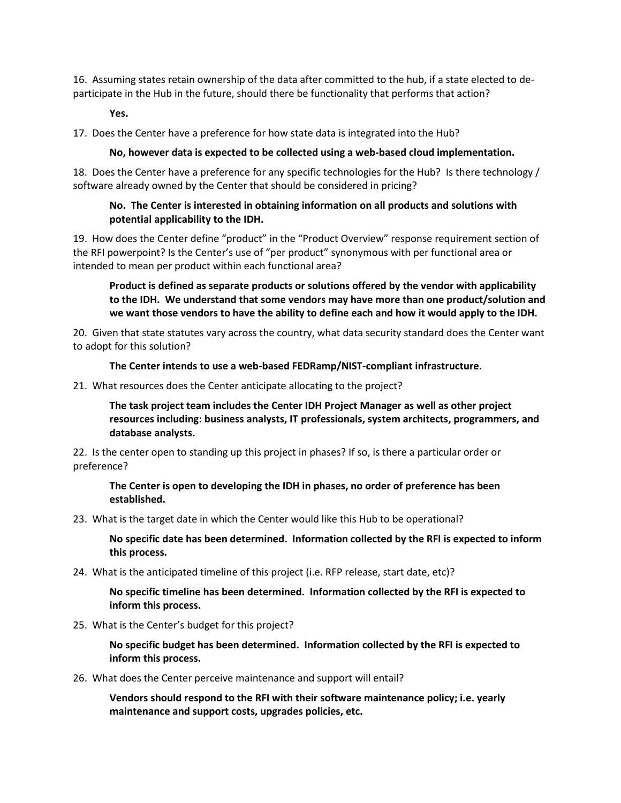16. Assuming states retain ownership of the data after committed to the hub, if a state elected to departicipate in the Hub in the future, should there be functionality that performs that action?

**Yes.**

17. Does the Center have a preference for how state data is integrated into the Hub?

#### **No, however data is expected to be collected using a web-based cloud implementation.**

18. Does the Center have a preference for any specific technologies for the Hub? Is there technology / software already owned by the Center that should be considered in pricing?

## **No. The Center is interested in obtaining information on all products and solutions with potential applicability to the IDH.**

19. How does the Center define "product" in the "Product Overview" response requirement section of the RFI powerpoint? Is the Center's use of "per product" synonymous with per functional area or intended to mean per product within each functional area?

**Product is defined as separate products or solutions offered by the vendor with applicability to the IDH. We understand that some vendors may have more than one product/solution and we want those vendors to have the ability to define each and how it would apply to the IDH.**

20. Given that state statutes vary across the country, what data security standard does the Center want to adopt for this solution?

#### **The Center intends to use a web-based FEDRamp/NIST-compliant infrastructure.**

21. What resources does the Center anticipate allocating to the project?

**The task project team includes the Center IDH Project Manager as well as other project resources including: business analysts, IT professionals, system architects, programmers, and database analysts.**

22. Is the center open to standing up this project in phases? If so, is there a particular order or preference?

**The Center is open to developing the IDH in phases, no order of preference has been established.**

23. What is the target date in which the Center would like this Hub to be operational?

**No specific date has been determined. Information collected by the RFI is expected to inform this process.**

24. What is the anticipated timeline of this project (i.e. RFP release, start date, etc)?

**No specific timeline has been determined. Information collected by the RFI is expected to inform this process.**

#### 25. What is the Center's budget for this project?

**No specific budget has been determined. Information collected by the RFI is expected to inform this process.**

26. What does the Center perceive maintenance and support will entail?

**Vendors should respond to the RFI with their software maintenance policy; i.e. yearly maintenance and support costs, upgrades policies, etc.**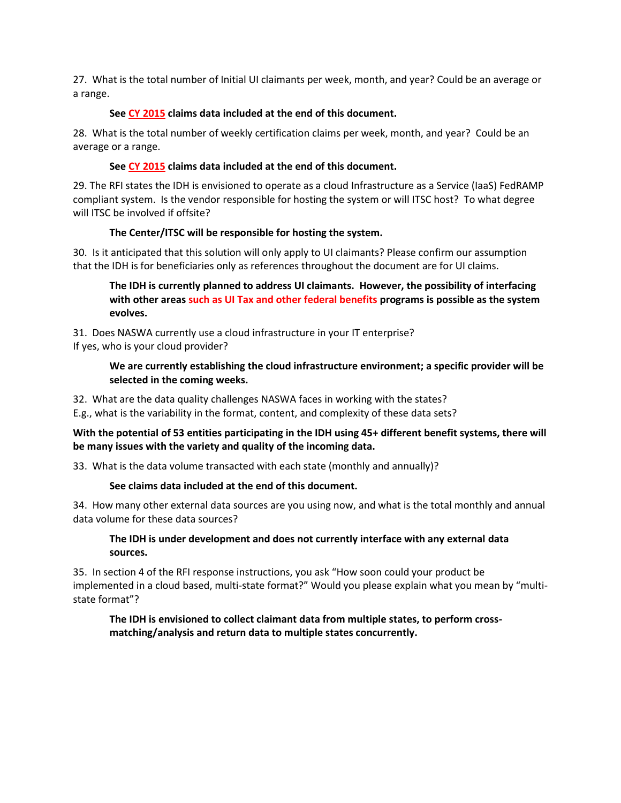27. What is the total number of Initial UI claimants per week, month, and year? Could be an average or a range.

## **See CY 2015 claims data included at the end of this document.**

28. What is the total number of weekly certification claims per week, month, and year? Could be an average or a range.

#### **See CY 2015 claims data included at the end of this document.**

29. The RFI states the IDH is envisioned to operate as a cloud Infrastructure as a Service (IaaS) FedRAMP compliant system. Is the vendor responsible for hosting the system or will ITSC host? To what degree will ITSC be involved if offsite?

#### **The Center/ITSC will be responsible for hosting the system.**

30. Is it anticipated that this solution will only apply to UI claimants? Please confirm our assumption that the IDH is for beneficiaries only as references throughout the document are for UI claims.

**The IDH is currently planned to address UI claimants. However, the possibility of interfacing with other areas such as UI Tax and other federal benefits programs is possible as the system evolves.**

31. Does NASWA currently use a cloud infrastructure in your IT enterprise? If yes, who is your cloud provider?

## **We are currently establishing the cloud infrastructure environment; a specific provider will be selected in the coming weeks.**

32. What are the data quality challenges NASWA faces in working with the states?

E.g., what is the variability in the format, content, and complexity of these data sets?

## **With the potential of 53 entities participating in the IDH using 45+ different benefit systems, there will be many issues with the variety and quality of the incoming data.**

33. What is the data volume transacted with each state (monthly and annually)?

## **See claims data included at the end of this document.**

34. How many other external data sources are you using now, and what is the total monthly and annual data volume for these data sources?

## **The IDH is under development and does not currently interface with any external data sources.**

35. In section 4 of the RFI response instructions, you ask "How soon could your product be implemented in a cloud based, multi-state format?" Would you please explain what you mean by "multistate format"?

## **The IDH is envisioned to collect claimant data from multiple states, to perform crossmatching/analysis and return data to multiple states concurrently.**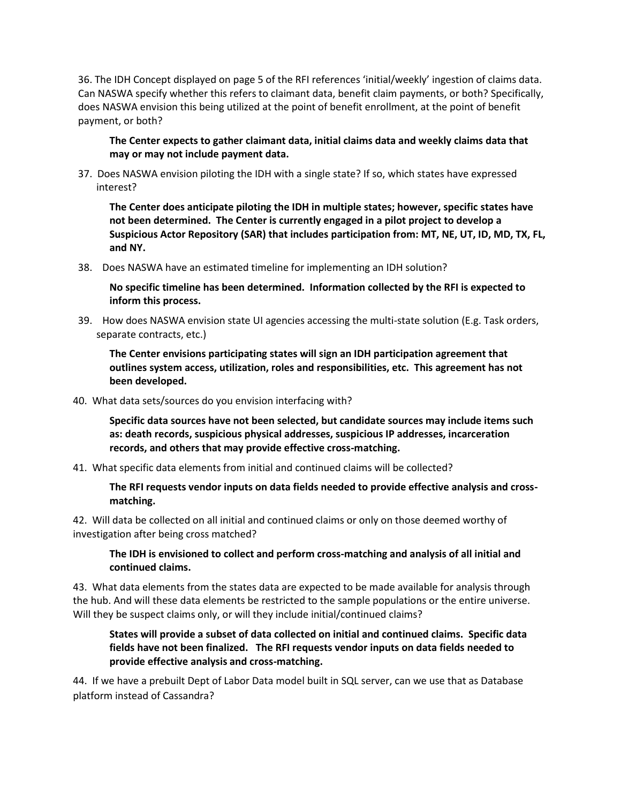36. The IDH Concept displayed on page 5 of the RFI references 'initial/weekly' ingestion of claims data. Can NASWA specify whether this refers to claimant data, benefit claim payments, or both? Specifically, does NASWA envision this being utilized at the point of benefit enrollment, at the point of benefit payment, or both?

**The Center expects to gather claimant data, initial claims data and weekly claims data that may or may not include payment data.** 

37. Does NASWA envision piloting the IDH with a single state? If so, which states have expressed interest?

**The Center does anticipate piloting the IDH in multiple states; however, specific states have not been determined. The Center is currently engaged in a pilot project to develop a Suspicious Actor Repository (SAR) that includes participation from: MT, NE, UT, ID, MD, TX, FL, and NY.**

38. Does NASWA have an estimated timeline for implementing an IDH solution?

**No specific timeline has been determined. Information collected by the RFI is expected to inform this process.**

39. How does NASWA envision state UI agencies accessing the multi-state solution (E.g. Task orders, separate contracts, etc.)

**The Center envisions participating states will sign an IDH participation agreement that outlines system access, utilization, roles and responsibilities, etc. This agreement has not been developed.**

## 40. What data sets/sources do you envision interfacing with?

**Specific data sources have not been selected, but candidate sources may include items such as: death records, suspicious physical addresses, suspicious IP addresses, incarceration records, and others that may provide effective cross-matching.** 

41. What specific data elements from initial and continued claims will be collected?

**The RFI requests vendor inputs on data fields needed to provide effective analysis and crossmatching.** 

42. Will data be collected on all initial and continued claims or only on those deemed worthy of investigation after being cross matched?

**The IDH is envisioned to collect and perform cross-matching and analysis of all initial and continued claims.**

43. What data elements from the states data are expected to be made available for analysis through the hub. And will these data elements be restricted to the sample populations or the entire universe. Will they be suspect claims only, or will they include initial/continued claims?

## **States will provide a subset of data collected on initial and continued claims. Specific data fields have not been finalized. The RFI requests vendor inputs on data fields needed to provide effective analysis and cross-matching.**

44. If we have a prebuilt Dept of Labor Data model built in SQL server, can we use that as Database platform instead of Cassandra?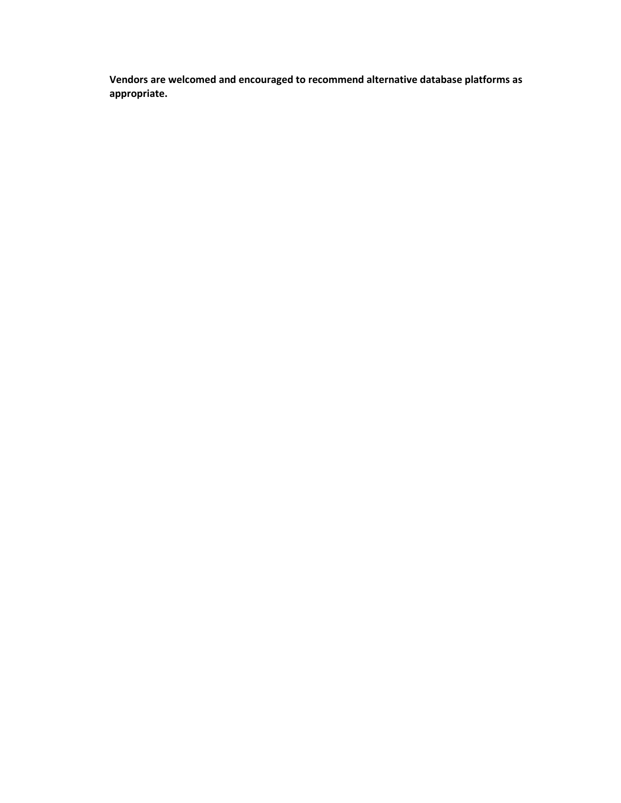**Vendors are welcomed and encouraged to recommend alternative database platforms as appropriate.**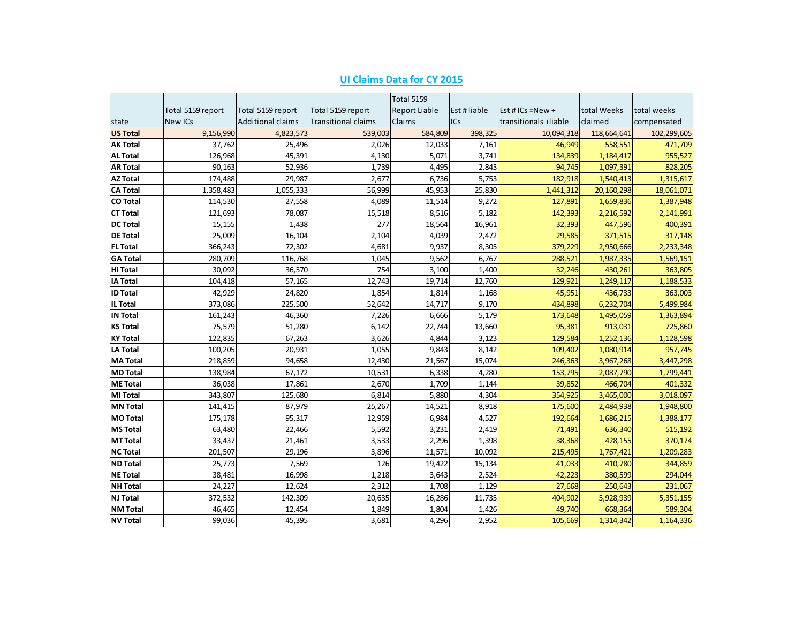|                 |                   |                          |                            | Total 5159    |              |                       |             |             |
|-----------------|-------------------|--------------------------|----------------------------|---------------|--------------|-----------------------|-------------|-------------|
|                 | Total 5159 report | Total 5159 report        | Total 5159 report          | Report Liable | Est # liable | Est # $ICs = New +$   | total Weeks | total weeks |
| state           | New ICs           | <b>Additional claims</b> | <b>Transitional claims</b> | <b>Claims</b> | <b>ICs</b>   | transitionals +liable | claimed     | compensated |
| <b>US Total</b> | 9,156,990         | 4,823,573                | 539,003                    | 584,809       | 398,325      | 10,094,318            | 118,664,641 | 102,299,605 |
| <b>AK Total</b> | 37,762            | 25,496                   | 2,026                      | 12,033        | 7,161        | 46,949                | 558,551     | 471,709     |
| <b>AL Total</b> | 126,968           | 45,391                   | 4,130                      | 5,071         | 3,741        | 134,839               | 1,184,417   | 955,527     |
| <b>AR Total</b> | 90,163            | 52,936                   | 1,739                      | 4,495         | 2,843        | 94,745                | 1,097,391   | 828,205     |
| <b>AZ Total</b> | 174,488           | 29,987                   | 2,677                      | 6,736         | 5,753        | 182,918               | 1,540,413   | 1,315,617   |
| <b>CA Total</b> | 1,358,483         | 1,055,333                | 56,999                     | 45,953        | 25,830       | 1,441,312             | 20,160,298  | 18,061,071  |
| <b>CO Total</b> | 114,530           | 27,558                   | 4,089                      | 11,514        | 9,272        | 127,891               | 1,659,836   | 1,387,948   |
| <b>CT Total</b> | 121,693           | 78,087                   | 15,518                     | 8,516         | 5,182        | 142,393               | 2,216,592   | 2,141,991   |
| <b>DC Total</b> | 15,155            | 1,438                    | 277                        | 18,564        | 16,961       | 32,393                | 447,596     | 400,391     |
| <b>DE Total</b> | 25,009            | 16,104                   | 2,104                      | 4,039         | 2,472        | 29,585                | 371,515     | 317,148     |
| <b>FL Total</b> | 366,243           | 72,302                   | 4,681                      | 9,937         | 8,305        | 379,229               | 2,950,666   | 2,233,348   |
| <b>GA Total</b> | 280,709           | 116,768                  | 1,045                      | 9,562         | 6,767        | 288,521               | 1,987,335   | 1,569,151   |
| <b>HI Total</b> | 30,092            | 36,570                   | 754                        | 3,100         | 1,400        | 32,246                | 430,261     | 363,805     |
| <b>IA Total</b> | 104,418           | 57,165                   | 12,743                     | 19,714        | 12,760       | 129,921               | 1,249,117   | 1,188,533   |
| <b>ID Total</b> | 42,929            | 24,820                   | 1,854                      | 1,814         | 1,168        | 45,951                | 436,733     | 363,003     |
| <b>IL Total</b> | 373,086           | 225,500                  | 52,642                     | 14,717        | 9,170        | 434,898               | 6,232,704   | 5,499,984   |
| <b>IN Total</b> | 161,243           | 46,360                   | 7,226                      | 6,666         | 5,179        | 173,648               | 1,495,059   | 1,363,894   |
| <b>KS Total</b> | 75,579            | 51,280                   | 6,142                      | 22,744        | 13,660       | 95,381                | 913,031     | 725,860     |
| <b>KY Total</b> | 122,835           | 67,263                   | 3,626                      | 4,844         | 3,123        | 129,584               | 1,252,136   | 1,128,598   |
| <b>LA Total</b> | 100,205           | 20,931                   | 1,055                      | 9,843         | 8,142        | 109,402               | 1,080,914   | 957,745     |
| <b>MA Total</b> | 218,859           | 94,658                   | 12,430                     | 21,567        | 15,074       | 246,363               | 3,967,268   | 3,447,298   |
| <b>MD Total</b> | 138,984           | 67,172                   | 10,531                     | 6,338         | 4,280        | 153,795               | 2,087,790   | 1,799,441   |
| <b>ME Total</b> | 36,038            | 17,861                   | 2,670                      | 1,709         | 1,144        | 39,852                | 466,704     | 401,332     |
| <b>MI Total</b> | 343,807           | 125,680                  | 6,814                      | 5,880         | 4,304        | 354,925               | 3,465,000   | 3,018,097   |
| <b>MN Total</b> | 141,415           | 87,979                   | 25,267                     | 14,521        | 8,918        | 175,600               | 2,484,938   | 1,948,800   |
| <b>MO Total</b> | 175,178           | 95,317                   | 12,959                     | 6,984         | 4,527        | 192,664               | 1,686,215   | 1,388,177   |
| <b>MS Total</b> | 63,480            | 22,466                   | 5,592                      | 3,231         | 2,419        | 71,491                | 636,340     | 515,192     |
| <b>MT Total</b> | 33,437            | 21,461                   | 3,533                      | 2,296         | 1,398        | 38,368                | 428,155     | 370,174     |
| <b>NC Total</b> | 201,507           | 29,196                   | 3,896                      | 11,571        | 10,092       | 215,495               | 1,767,421   | 1,209,283   |
| <b>ND Total</b> | 25,773            | 7,569                    | 126                        | 19,422        | 15,134       | 41,033                | 410,780     | 344,859     |
| <b>NE Total</b> | 38,481            | 16,998                   | 1,218                      | 3,643         | 2,524        | 42,223                | 380,599     | 294,044     |
| <b>NH Total</b> | 24,227            | 12,624                   | 2,312                      | 1,708         | 1,129        | 27,668                | 250,643     | 231,067     |
| <b>NJ Total</b> | 372,532           | 142,309                  | 20,635                     | 16,286        | 11,735       | 404,902               | 5,928,939   | 5,351,155   |
| <b>NM Total</b> | 46,465            | 12,454                   | 1,849                      | 1,804         | 1,426        | 49,740                | 668,364     | 589,304     |
| <b>NV Total</b> | 99,036            | 45,395                   | 3,681                      | 4,296         | 2,952        | 105,669               | 1,314,342   | 1,164,336   |

# **UI Claims Data for CY 2015**